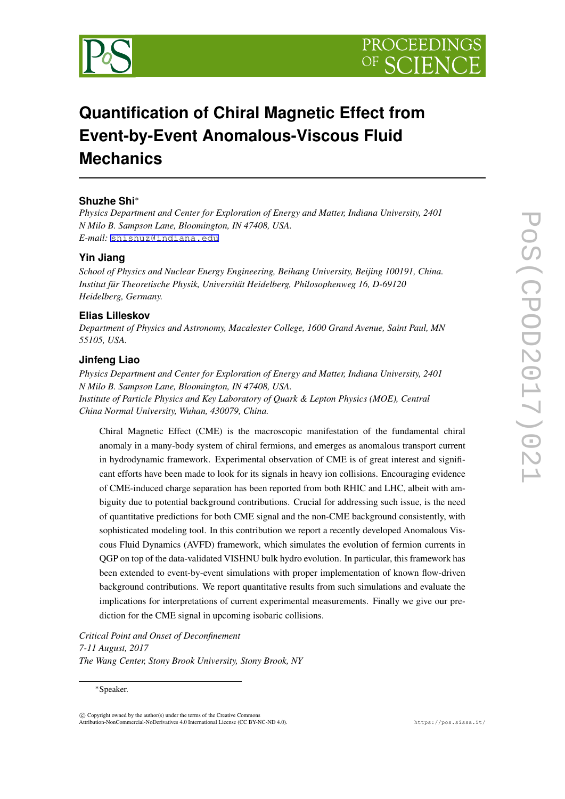



# **Quantification of Chiral Magnetic Effect from Event-by-Event Anomalous-Viscous Fluid Mechanics**

## **Shuzhe Shi***∗*

*Physics Department and Center for Exploration of Energy and Matter, Indiana University, 2401 N Milo B. Sampson Lane, Bloomington, IN 47408, USA. E-mail:* [shishuz@indiana.edu](mailto:shishuz@indiana.edu)

#### **Yin Jiang**

*School of Physics and Nuclear Energy Engineering, Beihang University, Beijing 100191, China. Institut für Theoretische Physik, Universität Heidelberg, Philosophenweg 16, D-69120 Heidelberg, Germany.*

#### **Elias Lilleskov**

*Department of Physics and Astronomy, Macalester College, 1600 Grand Avenue, Saint Paul, MN 55105, USA.*

### **Jinfeng Liao**

*Physics Department and Center for Exploration of Energy and Matter, Indiana University, 2401 N Milo B. Sampson Lane, Bloomington, IN 47408, USA. Institute of Particle Physics and Key Laboratory of Quark & Lepton Physics (MOE), Central China Normal University, Wuhan, 430079, China.*

Chiral Magnetic Effect (CME) is the macroscopic manifestation of the fundamental chiral anomaly in a many-body system of chiral fermions, and emerges as anomalous transport current in hydrodynamic framework. Experimental observation of CME is of great interest and significant efforts have been made to look for its signals in heavy ion collisions. Encouraging evidence of CME-induced charge separation has been reported from both RHIC and LHC, albeit with ambiguity due to potential background contributions. Crucial for addressing such issue, is the need of quantitative predictions for both CME signal and the non-CME background consistently, with sophisticated modeling tool. In this contribution we report a recently developed Anomalous Viscous Fluid Dynamics (AVFD) framework, which simulates the evolution of fermion currents in QGP on top of the data-validated VISHNU bulk hydro evolution. In particular, this framework has been extended to event-by-event simulations with proper implementation of known flow-driven background contributions. We report quantitative results from such simulations and evaluate the implications for interpretations of current experimental measurements. Finally we give our prediction for the CME signal in upcoming isobaric collisions.

*Critical Point and Onset of Deconfinement 7-11 August, 2017 The Wang Center, Stony Brook University, Stony Brook, NY*

*<sup>∗</sup>*Speaker.

 $(\widehat{c})$  Copyright owned by the author(s) under the terms of the Creative Common Attribution-NonCommercial-NoDerivatives 4.0 International License (CC BY-NC-ND 4.0). https://pos.sissa.it/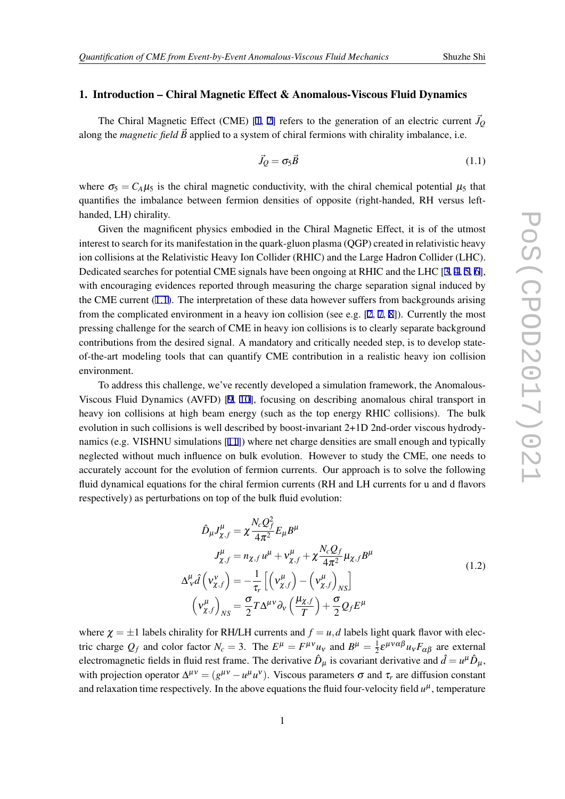#### 1. Introduction – Chiral Magnetic Effect & Anomalous-Viscous Fluid Dynamics

The Chiral Magnetic Effect (CME) [[1](#page-5-0), [2](#page-5-0)] refers to the generation of an electric current  $\vec{J}_Q$ along the *magnetic field*  $\vec{B}$  applied to a system of chiral fermions with chirality imbalance, i.e.

$$
\vec{J}_Q = \sigma_5 \vec{B} \tag{1.1}
$$

where  $\sigma_5 = C_A \mu_5$  is the chiral magnetic conductivity, with the chiral chemical potential  $\mu_5$  that quantifies the imbalance between fermion densities of opposite (right-handed, RH versus lefthanded, LH) chirality.

Given the magnificent physics embodied in the Chiral Magnetic Effect, it is of the utmost interest to search for its manifestation in the quark-gluon plasma (QGP) created in relativistic heavy ion collisions at the Relativistic Heavy Ion Collider (RHIC) and the Large Hadron Collider (LHC). Dedicated searches for potential CME signals have been ongoing at RHIC and the LHC  $[3, 4, 5, 6]$  $[3, 4, 5, 6]$  $[3, 4, 5, 6]$  $[3, 4, 5, 6]$  $[3, 4, 5, 6]$  $[3, 4, 5, 6]$  $[3, 4, 5, 6]$ , with encouraging evidences reported through measuring the charge separation signal induced by the CME current (1.1). The interpretation of these data however suffers from backgrounds arising from the complicated environment in a heavy ion collision (see e.g.  $[2, 7, 8]$  $[2, 7, 8]$  $[2, 7, 8]$  $[2, 7, 8]$  $[2, 7, 8]$  $[2, 7, 8]$ ). Currently the most pressing challenge for the search of CME in heavy ion collisions is to clearly separate background contributions from the desired signal. A mandatory and critically needed step, is to develop stateof-the-art modeling tools that can quantify CME contribution in a realistic heavy ion collision environment.

To address this challenge, we've recently developed a simulation framework, the Anomalous-Viscous Fluid Dynamics (AVFD) [\[9,](#page-5-0) [10\]](#page-5-0), focusing on describing anomalous chiral transport in heavy ion collisions at high beam energy (such as the top energy RHIC collisions). The bulk evolution in such collisions is well described by boost-invariant 2+1D 2nd-order viscous hydrodynamics (e.g. VISHNU simulations [\[11\]](#page-5-0)) where net charge densities are small enough and typically neglected without much influence on bulk evolution. However to study the CME, one needs to accurately account for the evolution of fermion currents. Our approach is to solve the following fluid dynamical equations for the chiral fermion currents (RH and LH currents for u and d flavors respectively) as perturbations on top of the bulk fluid evolution:

$$
\hat{D}_{\mu}J_{\chi,f}^{\mu} = \chi \frac{N_c Q_f^2}{4\pi^2} E_{\mu}B^{\mu}
$$
\n
$$
J_{\chi,f}^{\mu} = n_{\chi,f}u^{\mu} + v_{\chi,f}^{\mu} + \chi \frac{N_c Q_f}{4\pi^2} \mu_{\chi,f}B^{\mu}
$$
\n
$$
\Delta_{\nu}^{\mu} \hat{d} \left( v_{\chi,f}^{\nu} \right) = -\frac{1}{\tau_r} \left[ \left( v_{\chi,f}^{\mu} \right) - \left( v_{\chi,f}^{\mu} \right)_{NS} \right]
$$
\n
$$
\left( v_{\chi,f}^{\mu} \right)_{NS} = \frac{\sigma}{2} T \Delta^{\mu\nu} \partial_{\nu} \left( \frac{\mu_{\chi,f}}{T} \right) + \frac{\sigma}{2} Q_f E^{\mu}
$$
\n(1.2)

where  $\chi = \pm 1$  labels chirality for RH/LH currents and  $f = u$ , *d* labels light quark flavor with electric charge  $Q_f$  and color factor  $N_c = 3$ . The  $E^{\mu} = F^{\mu\nu} u_{\nu}$  and  $B^{\mu} = \frac{1}{2}$  $\frac{1}{2} \varepsilon^{\mu \nu \alpha \beta} u_{\nu} F_{\alpha \beta}$  are external electromagnetic fields in fluid rest frame. The derivative  $\hat{D}_{\mu}$  is covariant derivative and  $\hat{d} = u^{\mu} \hat{D}_{\mu}$ , with projection operator  $\Delta^{\mu\nu} = (g^{\mu\nu} - u^{\mu} u^{\nu})$ . Viscous parameters  $\sigma$  and  $\tau_r$  are diffusion constant and relaxation time respectively. In the above equations the fluid four-velocity field  $u^{\mu}$ , temperature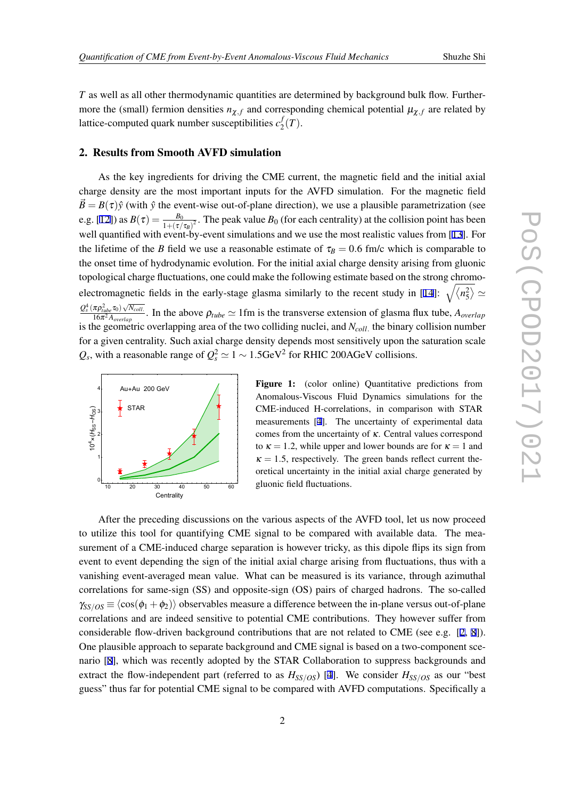<span id="page-2-0"></span>*T* as well as all other thermodynamic quantities are determined by background bulk flow. Furthermore the (small) fermion densities  $n_{\chi,f}$  and corresponding chemical potential  $\mu_{\chi,f}$  are related by lattice-computed quark number susceptibilities *c f*  $_{2}^{J}(T).$ 

#### 2. Results from Smooth AVFD simulation

As the key ingredients for driving the CME current, the magnetic field and the initial axial charge density are the most important inputs for the AVFD simulation. For the magnetic field  $\vec{B} = B(\tau)\hat{y}$  (with  $\hat{y}$  the event-wise out-of-plane direction), we use a plausible parametrization (see e.g. [\[12\]](#page-5-0)) as  $B(\tau) = \frac{B_0}{1 + (\tau/\tau_B)^2}$ . The peak value  $B_0$  (for each centrality) at the collision point has been well quantified with event-by-event simulations and we use the most realistic values from [\[13](#page-5-0)]. For the lifetime of the *B* field we use a reasonable estimate of  $\tau_B = 0.6$  fm/c which is comparable to the onset time of hydrodynamic evolution. For the initial axial charge density arising from gluonic topological charge fluctuations, one could make the following estimate based on the strong chromo-electromagnetic fields in the early-stage glasma similarly to the recent study in [\[14](#page-5-0)]:  $\sqrt{\langle n_5^2 \rangle} \simeq$  $Q_s^4$  (π $\rho_{tube}^2$ τ<sub>0</sub>)  $\sqrt{N_{coll}}$ .  $\frac{^{76}P_{tube}^{100} \text{V/V}^{200}}{16\pi^2 A_{overlap}}$ . In the above  $\rho_{tube} \simeq 1$  fm is the transverse extension of glasma flux tube,  $A_{overlap}$ is the geometric overlapping area of the two colliding nuclei, and *Ncoll.* the binary collision number for a given centrality. Such axial charge density depends most sensitively upon the saturation scale  $Q_s$ , with a reasonable range of  $Q_s^2 \simeq 1 \sim 1.5 \text{GeV}^2$  for RHIC 200AGeV collisions.



Figure 1: (color online) Quantitative predictions from Anomalous-Viscous Fluid Dynamics simulations for the CME-induced H-correlations, in comparison with STAR measurements [\[4](#page-5-0)]. The uncertainty of experimental data comes from the uncertainty of  $\kappa$ . Central values correspond to  $\kappa = 1.2$ , while upper and lower bounds are for  $\kappa = 1$  and  $\kappa = 1.5$ , respectively. The green bands reflect current theoretical uncertainty in the initial axial charge generated by gluonic field fluctuations.

After the preceding discussions on the various aspects of the AVFD tool, let us now proceed to utilize this tool for quantifying CME signal to be compared with available data. The measurement of a CME-induced charge separation is however tricky, as this dipole flips its sign from event to event depending the sign of the initial axial charge arising from fluctuations, thus with a vanishing event-averaged mean value. What can be measured is its variance, through azimuthal correlations for same-sign (SS) and opposite-sign (OS) pairs of charged hadrons. The so-called  $\gamma_{S/OS} \equiv \langle \cos(\phi_1 + \phi_2) \rangle$  observables measure a difference between the in-plane versus out-of-plane correlations and are indeed sensitive to potential CME contributions. They however suffer from considerable flow-driven background contributions that are not related to CME (see e.g. [[2](#page-5-0), [8\]](#page-5-0)). One plausible approach to separate background and CME signal is based on a two-component scenario [\[8\]](#page-5-0), which was recently adopted by the STAR Collaboration to suppress backgrounds and extract the flow-independent part (referred to as  $H_{SS/OS}$ ) [[4](#page-5-0)]. We consider  $H_{SS/OS}$  as our "best guess" thus far for potential CME signal to be compared with AVFD computations. Specifically a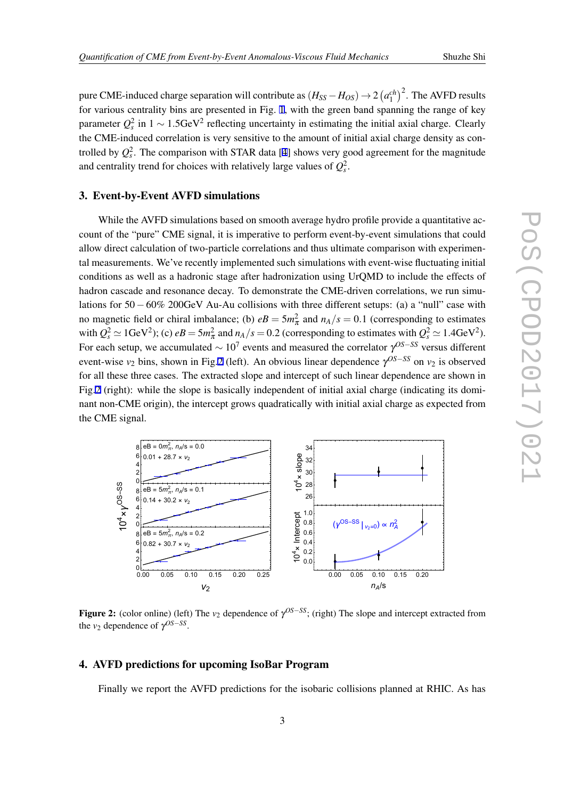pure CME-induced charge separation will contribute as  $(H_{SS} - H_{OS}) \rightarrow 2 (a_1^{ch})^2$ . The AVFD results for various centrality bins are presented in Fig. [1,](#page-2-0) with the green band spanning the range of key parameter  $Q_s^2$  in 1  $\sim$  1.5GeV<sup>2</sup> reflecting uncertainty in estimating the initial axial charge. Clearly the CME-induced correlation is very sensitive to the amount of initial axial charge density as controlled by  $Q_s^2$ . The comparison with STAR data [\[4\]](#page-5-0) shows very good agreement for the magnitude and centrality trend for choices with relatively large values of  $Q_s^2$ .

#### 3. Event-by-Event AVFD simulations

While the AVFD simulations based on smooth average hydro profile provide a quantitative account of the "pure" CME signal, it is imperative to perform event-by-event simulations that could allow direct calculation of two-particle correlations and thus ultimate comparison with experimental measurements. We've recently implemented such simulations with event-wise fluctuating initial conditions as well as a hadronic stage after hadronization using UrQMD to include the effects of hadron cascade and resonance decay. To demonstrate the CME-driven correlations, we run simulations for 50*−*60% 200GeV Au-Au collisions with three different setups: (a) a "null" case with no magnetic field or chiral imbalance; (b)  $eB = 5m_{\pi}^2$  and  $n_A/s = 0.1$  (corresponding to estimates with  $Q_s^2 \simeq 1$ GeV<sup>2</sup>); (c)  $eB = 5m_\pi^2$  and  $n_A/s = 0.2$  (corresponding to estimates with  $Q_s^2 \simeq 1.4$ GeV<sup>2</sup>). For each setup, we accumulated *<sup>∼</sup>* <sup>10</sup><sup>7</sup> events and measured the correlator γ *OS−SS* versus different event-wise *v*<sup>2</sup> bins, shown in Fig.2 (left). An obvious linear dependence <sup>γ</sup> *OS−SS* on *v*<sup>2</sup> is observed for all these three cases. The extracted slope and intercept of such linear dependence are shown in Fig.2 (right): while the slope is basically independent of initial axial charge (indicating its dominant non-CME origin), the intercept grows quadratically with initial axial charge as expected from the CME signal.



Figure 2: (color online) (left) The *v*<sup>2</sup> dependence of <sup>γ</sup> *OS−SS*; (right) The slope and intercept extracted from the  $v_2$  dependence of  $\gamma^{OS-SS}$ .

# 4. AVFD predictions for upcoming IsoBar Program

Finally we report the AVFD predictions for the isobaric collisions planned at RHIC. As has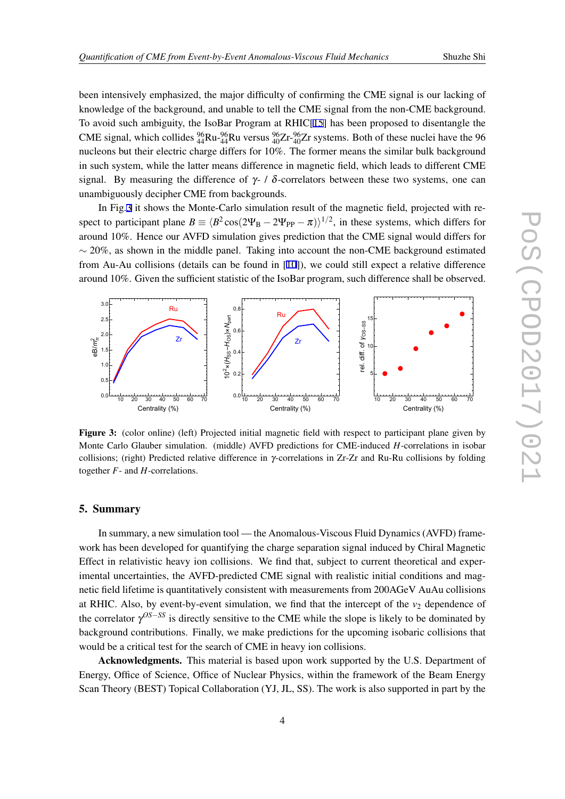been intensively emphasized, the major difficulty of confirming the CME signal is our lacking of knowledge of the background, and unable to tell the CME signal from the non-CME background. To avoid such ambiguity, the IsoBar Program at RHIC[\[15\]](#page-5-0) has been proposed to disentangle the CME signal, which collides  ${}^{96}_{44}Ru {}^{96}_{44}Ru$  versus  ${}^{96}_{40}Zr {}^{96}_{40}Zr$  systems. Both of these nuclei have the 96 nucleons but their electric charge differs for 10%. The former means the similar bulk background in such system, while the latter means difference in magnetic field, which leads to different CME signal. By measuring the difference of  $\gamma$ - /  $\delta$ -correlators between these two systems, one can unambiguously decipher CME from backgrounds.

In Fig.3 it shows the Monte-Carlo simulation result of the magnetic field, projected with respect to participant plane  $B = \langle B^2 \cos(2\Psi_B - 2\Psi_{PP} - \pi) \rangle^{1/2}$ , in these systems, which differs for around 10%. Hence our AVFD simulation gives prediction that the CME signal would differs for *∼* 20%, as shown in the middle panel. Taking into account the non-CME background estimated from Au-Au collisions (details can be found in [[10\]](#page-5-0)), we could still expect a relative difference around 10%. Given the sufficient statistic of the IsoBar program, such difference shall be observed.



Figure 3: (color online) (left) Projected initial magnetic field with respect to participant plane given by Monte Carlo Glauber simulation. (middle) AVFD predictions for CME-induced *H*-correlations in isobar collisions; (right) Predicted relative difference in γ-correlations in Zr-Zr and Ru-Ru collisions by folding together *F*- and *H*-correlations.

#### 5. Summary

In summary, a new simulation tool — the Anomalous-Viscous Fluid Dynamics (AVFD) framework has been developed for quantifying the charge separation signal induced by Chiral Magnetic Effect in relativistic heavy ion collisions. We find that, subject to current theoretical and experimental uncertainties, the AVFD-predicted CME signal with realistic initial conditions and magnetic field lifetime is quantitatively consistent with measurements from 200AGeV AuAu collisions at RHIC. Also, by event-by-event simulation, we find that the intercept of the  $v_2$  dependence of the correlator γ *OS−SS* is directly sensitive to the CME while the slope is likely to be dominated by background contributions. Finally, we make predictions for the upcoming isobaric collisions that would be a critical test for the search of CME in heavy ion collisions.

Acknowledgments. This material is based upon work supported by the U.S. Department of Energy, Office of Science, Office of Nuclear Physics, within the framework of the Beam Energy Scan Theory (BEST) Topical Collaboration (YJ, JL, SS). The work is also supported in part by the